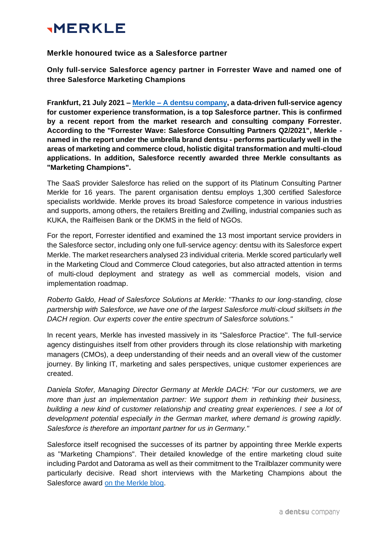# **MERKLE**

## **Merkle honoured twice as a Salesforce partner**

**Only full-service Salesforce agency partner in Forrester Wave and named one of three Salesforce Marketing Champions**

**Frankfurt, 21 July 2021 – Merkle – [A dentsu company,](https://merkleinc.de/en) a data-driven full-service agency for customer experience transformation, is a top Salesforce partner. This is confirmed by a recent report from the market research and consulting company Forrester. According to the "Forrester Wave: Salesforce Consulting Partners Q2/2021", Merkle named in the report under the umbrella brand dentsu - performs particularly well in the areas of marketing and commerce cloud, holistic digital transformation and multi-cloud applications. In addition, Salesforce recently awarded three Merkle consultants as "Marketing Champions".** 

The SaaS provider Salesforce has relied on the support of its Platinum Consulting Partner Merkle for 16 years. The parent organisation dentsu employs 1,300 certified Salesforce specialists worldwide. Merkle proves its broad Salesforce competence in various industries and supports, among others, the retailers Breitling and Zwilling, industrial companies such as KUKA, the Raiffeisen Bank or the DKMS in the field of NGOs.

For the report, Forrester identified and examined the 13 most important service providers in the Salesforce sector, including only one full-service agency: dentsu with its Salesforce expert Merkle. The market researchers analysed 23 individual criteria. Merkle scored particularly well in the Marketing Cloud and Commerce Cloud categories, but also attracted attention in terms of multi-cloud deployment and strategy as well as commercial models, vision and implementation roadmap.

*Roberto Galdo, Head of Salesforce Solutions at Merkle: "Thanks to our long-standing, close partnership with Salesforce, we have one of the largest Salesforce multi-cloud skillsets in the DACH region. Our experts cover the entire spectrum of Salesforce solutions."* 

In recent years, Merkle has invested massively in its "Salesforce Practice". The full-service agency distinguishes itself from other providers through its close relationship with marketing managers (CMOs), a deep understanding of their needs and an overall view of the customer journey. By linking IT, marketing and sales perspectives, unique customer experiences are created.

*Daniela Stofer, Managing Director Germany at Merkle DACH: "For our customers, we are more than just an implementation partner: We support them in rethinking their business, building a new kind of customer relationship and creating great experiences. I see a lot of development potential especially in the German market, where demand is growing rapidly. Salesforce is therefore an important partner for us in Germany."*

Salesforce itself recognised the successes of its partner by appointing three Merkle experts as "Marketing Champions". Their detailed knowledge of the entire marketing cloud suite including Pardot and Datorama as well as their commitment to the Trailblazer community were particularly decisive. Read short interviews with the Marketing Champions about the Salesforce award [on the Merkle blog.](https://merkleinc.de/en/topics-trends/insights/digital-marketing/three-salesforce-marketing-champions-merkle)